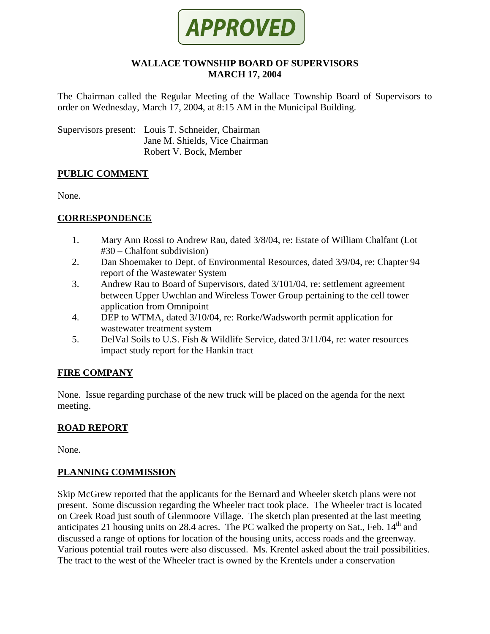

#### **WALLACE TOWNSHIP BOARD OF SUPERVISORS MARCH 17, 2004**

The Chairman called the Regular Meeting of the Wallace Township Board of Supervisors to order on Wednesday, March 17, 2004, at 8:15 AM in the Municipal Building.

Supervisors present: Louis T. Schneider, Chairman Jane M. Shields, Vice Chairman Robert V. Bock, Member

#### **PUBLIC COMMENT**

None.

#### **CORRESPONDENCE**

- 1. Mary Ann Rossi to Andrew Rau, dated 3/8/04, re: Estate of William Chalfant (Lot #30 – Chalfont subdivision)
- 2. Dan Shoemaker to Dept. of Environmental Resources, dated 3/9/04, re: Chapter 94 report of the Wastewater System
- 3. Andrew Rau to Board of Supervisors, dated 3/101/04, re: settlement agreement between Upper Uwchlan and Wireless Tower Group pertaining to the cell tower application from Omnipoint
- 4. DEP to WTMA, dated 3/10/04, re: Rorke/Wadsworth permit application for wastewater treatment system
- 5. DelVal Soils to U.S. Fish & Wildlife Service, dated 3/11/04, re: water resources impact study report for the Hankin tract

## **FIRE COMPANY**

None. Issue regarding purchase of the new truck will be placed on the agenda for the next meeting.

## **ROAD REPORT**

None.

#### **PLANNING COMMISSION**

Skip McGrew reported that the applicants for the Bernard and Wheeler sketch plans were not present. Some discussion regarding the Wheeler tract took place. The Wheeler tract is located on Creek Road just south of Glenmoore Village. The sketch plan presented at the last meeting anticipates 21 housing units on 28.4 acres. The PC walked the property on Sat., Feb.  $14<sup>th</sup>$  and discussed a range of options for location of the housing units, access roads and the greenway. Various potential trail routes were also discussed. Ms. Krentel asked about the trail possibilities. The tract to the west of the Wheeler tract is owned by the Krentels under a conservation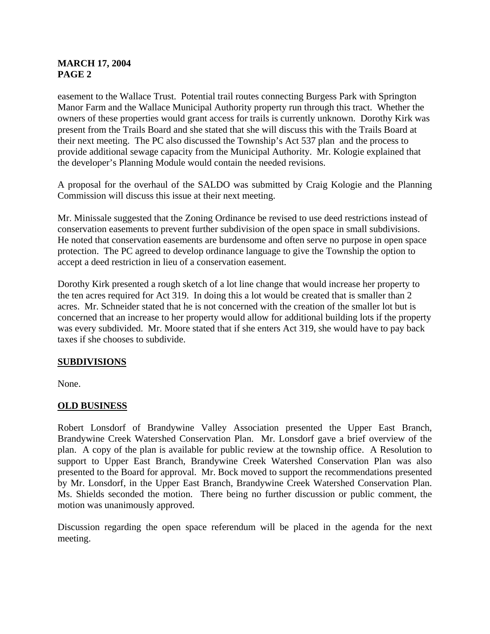## **MARCH 17, 2004 PAGE 2**

easement to the Wallace Trust. Potential trail routes connecting Burgess Park with Springton Manor Farm and the Wallace Municipal Authority property run through this tract. Whether the owners of these properties would grant access for trails is currently unknown. Dorothy Kirk was present from the Trails Board and she stated that she will discuss this with the Trails Board at their next meeting. The PC also discussed the Township's Act 537 plan and the process to provide additional sewage capacity from the Municipal Authority. Mr. Kologie explained that the developer's Planning Module would contain the needed revisions.

A proposal for the overhaul of the SALDO was submitted by Craig Kologie and the Planning Commission will discuss this issue at their next meeting.

Mr. Minissale suggested that the Zoning Ordinance be revised to use deed restrictions instead of conservation easements to prevent further subdivision of the open space in small subdivisions. He noted that conservation easements are burdensome and often serve no purpose in open space protection. The PC agreed to develop ordinance language to give the Township the option to accept a deed restriction in lieu of a conservation easement.

Dorothy Kirk presented a rough sketch of a lot line change that would increase her property to the ten acres required for Act 319. In doing this a lot would be created that is smaller than 2 acres. Mr. Schneider stated that he is not concerned with the creation of the smaller lot but is concerned that an increase to her property would allow for additional building lots if the property was every subdivided. Mr. Moore stated that if she enters Act 319, she would have to pay back taxes if she chooses to subdivide.

## **SUBDIVISIONS**

None.

## **OLD BUSINESS**

Robert Lonsdorf of Brandywine Valley Association presented the Upper East Branch, Brandywine Creek Watershed Conservation Plan. Mr. Lonsdorf gave a brief overview of the plan. A copy of the plan is available for public review at the township office. A Resolution to support to Upper East Branch, Brandywine Creek Watershed Conservation Plan was also presented to the Board for approval. Mr. Bock moved to support the recommendations presented by Mr. Lonsdorf, in the Upper East Branch, Brandywine Creek Watershed Conservation Plan. Ms. Shields seconded the motion. There being no further discussion or public comment, the motion was unanimously approved.

Discussion regarding the open space referendum will be placed in the agenda for the next meeting.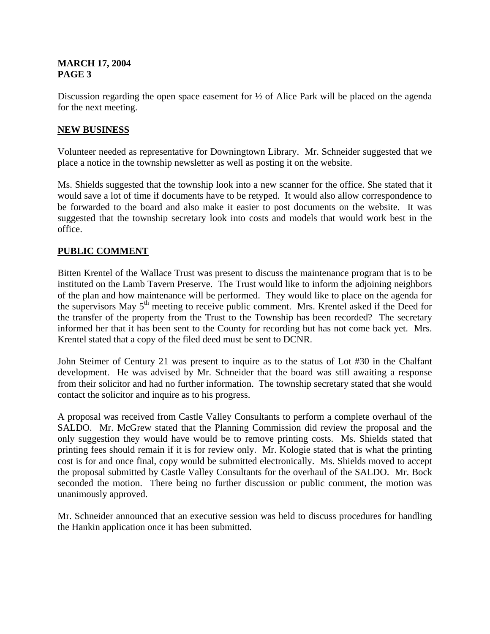#### **MARCH 17, 2004 PAGE 3**

Discussion regarding the open space easement for  $\frac{1}{2}$  of Alice Park will be placed on the agenda for the next meeting.

### **NEW BUSINESS**

Volunteer needed as representative for Downingtown Library. Mr. Schneider suggested that we place a notice in the township newsletter as well as posting it on the website.

Ms. Shields suggested that the township look into a new scanner for the office. She stated that it would save a lot of time if documents have to be retyped. It would also allow correspondence to be forwarded to the board and also make it easier to post documents on the website. It was suggested that the township secretary look into costs and models that would work best in the office.

#### **PUBLIC COMMENT**

Bitten Krentel of the Wallace Trust was present to discuss the maintenance program that is to be instituted on the Lamb Tavern Preserve. The Trust would like to inform the adjoining neighbors of the plan and how maintenance will be performed. They would like to place on the agenda for the supervisors May 5th meeting to receive public comment. Mrs. Krentel asked if the Deed for the transfer of the property from the Trust to the Township has been recorded? The secretary informed her that it has been sent to the County for recording but has not come back yet. Mrs. Krentel stated that a copy of the filed deed must be sent to DCNR.

John Steimer of Century 21 was present to inquire as to the status of Lot #30 in the Chalfant development. He was advised by Mr. Schneider that the board was still awaiting a response from their solicitor and had no further information. The township secretary stated that she would contact the solicitor and inquire as to his progress.

A proposal was received from Castle Valley Consultants to perform a complete overhaul of the SALDO. Mr. McGrew stated that the Planning Commission did review the proposal and the only suggestion they would have would be to remove printing costs. Ms. Shields stated that printing fees should remain if it is for review only. Mr. Kologie stated that is what the printing cost is for and once final, copy would be submitted electronically. Ms. Shields moved to accept the proposal submitted by Castle Valley Consultants for the overhaul of the SALDO. Mr. Bock seconded the motion. There being no further discussion or public comment, the motion was unanimously approved.

Mr. Schneider announced that an executive session was held to discuss procedures for handling the Hankin application once it has been submitted.